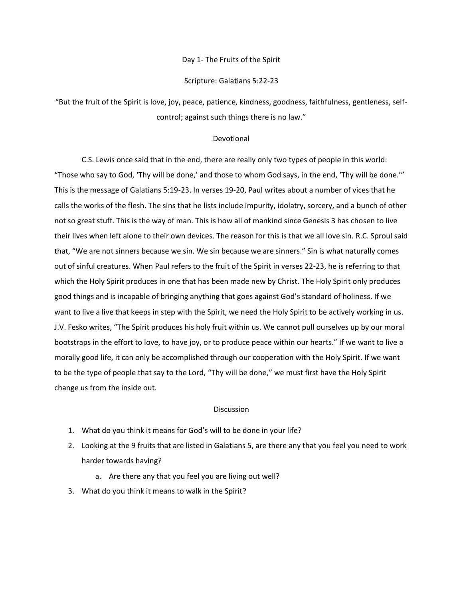# Day 1- The Fruits of the Spirit

# Scripture: Galatians 5:22-23

"But the fruit of the Spirit is love, joy, peace, patience, kindness, goodness, faithfulness, gentleness, selfcontrol; against such things there is no law."

# Devotional

C.S. Lewis once said that in the end, there are really only two types of people in this world: "Those who say to God, 'Thy will be done,' and those to whom God says, in the end, 'Thy will be done.'" This is the message of Galatians 5:19-23. In verses 19-20, Paul writes about a number of vices that he calls the works of the flesh. The sins that he lists include impurity, idolatry, sorcery, and a bunch of other not so great stuff. This is the way of man. This is how all of mankind since Genesis 3 has chosen to live their lives when left alone to their own devices. The reason for this is that we all love sin. R.C. Sproul said that, "We are not sinners because we sin. We sin because we are sinners." Sin is what naturally comes out of sinful creatures. When Paul refers to the fruit of the Spirit in verses 22-23, he is referring to that which the Holy Spirit produces in one that has been made new by Christ. The Holy Spirit only produces good things and is incapable of bringing anything that goes against God's standard of holiness. If we want to live a live that keeps in step with the Spirit, we need the Holy Spirit to be actively working in us. J.V. Fesko writes, "The Spirit produces his holy fruit within us. We cannot pull ourselves up by our moral bootstraps in the effort to love, to have joy, or to produce peace within our hearts." If we want to live a morally good life, it can only be accomplished through our cooperation with the Holy Spirit. If we want to be the type of people that say to the Lord, "Thy will be done," we must first have the Holy Spirit change us from the inside out.

- 1. What do you think it means for God's will to be done in your life?
- 2. Looking at the 9 fruits that are listed in Galatians 5, are there any that you feel you need to work harder towards having?
	- a. Are there any that you feel you are living out well?
- 3. What do you think it means to walk in the Spirit?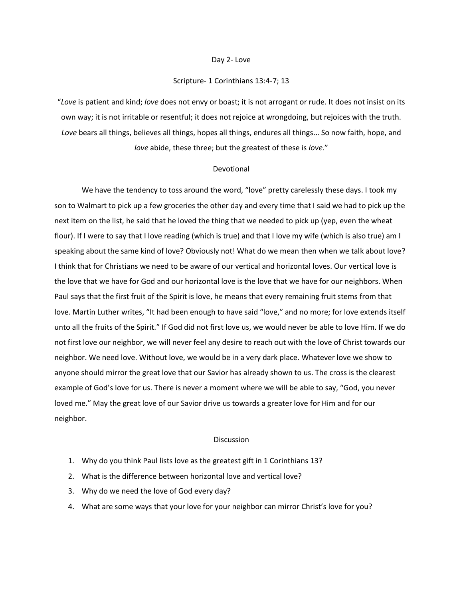#### Day 2- Love

# Scripture- 1 Corinthians 13:4-7; 13

"*Love* is patient and kind; *love* does not envy or boast; it is not arrogant or rude. It does not insist on its own way; it is not irritable or resentful; it does not rejoice at wrongdoing, but rejoices with the truth. *Love* bears all things, believes all things, hopes all things, endures all things… So now faith, hope, and *love* abide, these three; but the greatest of these is *love*."

#### Devotional

We have the tendency to toss around the word, "love" pretty carelessly these days. I took my son to Walmart to pick up a few groceries the other day and every time that I said we had to pick up the next item on the list, he said that he loved the thing that we needed to pick up (yep, even the wheat flour). If I were to say that I love reading (which is true) and that I love my wife (which is also true) am I speaking about the same kind of love? Obviously not! What do we mean then when we talk about love? I think that for Christians we need to be aware of our vertical and horizontal loves. Our vertical love is the love that we have for God and our horizontal love is the love that we have for our neighbors. When Paul says that the first fruit of the Spirit is love, he means that every remaining fruit stems from that love. Martin Luther writes, "It had been enough to have said "love," and no more; for love extends itself unto all the fruits of the Spirit." If God did not first love us, we would never be able to love Him. If we do not first love our neighbor, we will never feel any desire to reach out with the love of Christ towards our neighbor. We need love. Without love, we would be in a very dark place. Whatever love we show to anyone should mirror the great love that our Savior has already shown to us. The cross is the clearest example of God's love for us. There is never a moment where we will be able to say, "God, you never loved me." May the great love of our Savior drive us towards a greater love for Him and for our neighbor.

- 1. Why do you think Paul lists love as the greatest gift in 1 Corinthians 13?
- 2. What is the difference between horizontal love and vertical love?
- 3. Why do we need the love of God every day?
- 4. What are some ways that your love for your neighbor can mirror Christ's love for you?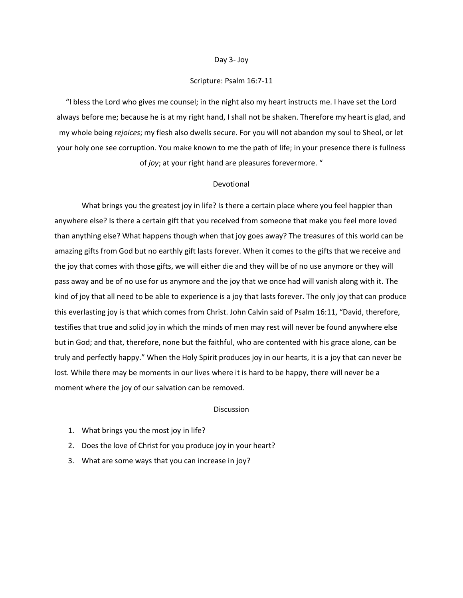### Day 3- Joy

# Scripture: Psalm 16:7-11

"I bless the Lord who gives me counsel; in the night also my heart instructs me. I have set the Lord always before me; because he is at my right hand, I shall not be shaken. Therefore my heart is glad, and my whole being *rejoices*; my flesh also dwells secure. For you will not abandon my soul to Sheol, or let your holy one see corruption. You make known to me the path of life; in your presence there is fullness of *joy*; at your right hand are pleasures forevermore. "

## Devotional

What brings you the greatest joy in life? Is there a certain place where you feel happier than anywhere else? Is there a certain gift that you received from someone that make you feel more loved than anything else? What happens though when that joy goes away? The treasures of this world can be amazing gifts from God but no earthly gift lasts forever. When it comes to the gifts that we receive and the joy that comes with those gifts, we will either die and they will be of no use anymore or they will pass away and be of no use for us anymore and the joy that we once had will vanish along with it. The kind of joy that all need to be able to experience is a joy that lasts forever. The only joy that can produce this everlasting joy is that which comes from Christ. John Calvin said of Psalm 16:11, "David, therefore, testifies that true and solid joy in which the minds of men may rest will never be found anywhere else but in God; and that, therefore, none but the faithful, who are contented with his grace alone, can be truly and perfectly happy." When the Holy Spirit produces joy in our hearts, it is a joy that can never be lost. While there may be moments in our lives where it is hard to be happy, there will never be a moment where the joy of our salvation can be removed.

- 1. What brings you the most joy in life?
- 2. Does the love of Christ for you produce joy in your heart?
- 3. What are some ways that you can increase in joy?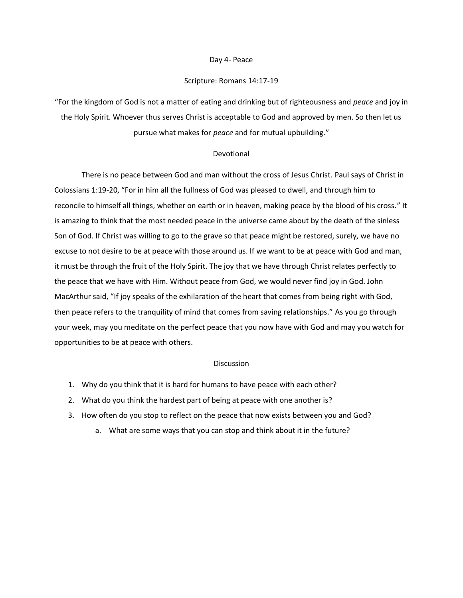### Day 4- Peace

# Scripture: Romans 14:17-19

"For the kingdom of God is not a matter of eating and drinking but of righteousness and *peace* and joy in the Holy Spirit. Whoever thus serves Christ is acceptable to God and approved by men. So then let us pursue what makes for *peace* and for mutual upbuilding."

# Devotional

There is no peace between God and man without the cross of Jesus Christ. Paul says of Christ in Colossians 1:19-20, "For in him all the fullness of God was pleased to dwell, and through him to reconcile to himself all things, whether on earth or in heaven, making peace by the blood of his cross." It is amazing to think that the most needed peace in the universe came about by the death of the sinless Son of God. If Christ was willing to go to the grave so that peace might be restored, surely, we have no excuse to not desire to be at peace with those around us. If we want to be at peace with God and man, it must be through the fruit of the Holy Spirit. The joy that we have through Christ relates perfectly to the peace that we have with Him. Without peace from God, we would never find joy in God. John MacArthur said, "If joy speaks of the exhilaration of the heart that comes from being right with God, then peace refers to the tranquility of mind that comes from saving relationships." As you go through your week, may you meditate on the perfect peace that you now have with God and may you watch for opportunities to be at peace with others.

- 1. Why do you think that it is hard for humans to have peace with each other?
- 2. What do you think the hardest part of being at peace with one another is?
- 3. How often do you stop to reflect on the peace that now exists between you and God?
	- a. What are some ways that you can stop and think about it in the future?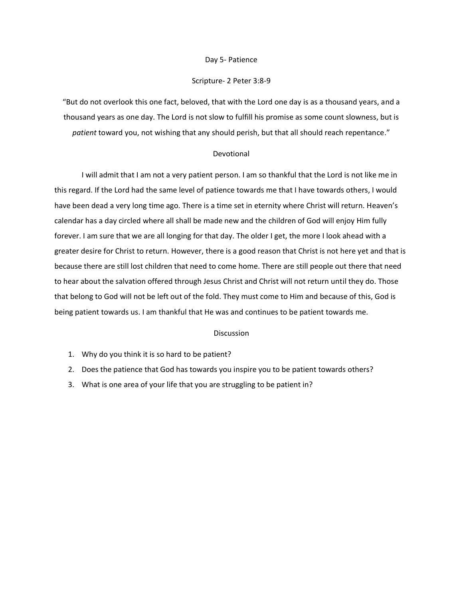## Day 5- Patience

# Scripture- 2 Peter 3:8-9

"But do not overlook this one fact, beloved, that with the Lord one day is as a thousand years, and a thousand years as one day. The Lord is not slow to fulfill his promise as some count slowness, but is *patient* toward you, not wishing that any should perish, but that all should reach repentance."

# Devotional

I will admit that I am not a very patient person. I am so thankful that the Lord is not like me in this regard. If the Lord had the same level of patience towards me that I have towards others, I would have been dead a very long time ago. There is a time set in eternity where Christ will return. Heaven's calendar has a day circled where all shall be made new and the children of God will enjoy Him fully forever. I am sure that we are all longing for that day. The older I get, the more I look ahead with a greater desire for Christ to return. However, there is a good reason that Christ is not here yet and that is because there are still lost children that need to come home. There are still people out there that need to hear about the salvation offered through Jesus Christ and Christ will not return until they do. Those that belong to God will not be left out of the fold. They must come to Him and because of this, God is being patient towards us. I am thankful that He was and continues to be patient towards me.

- 1. Why do you think it is so hard to be patient?
- 2. Does the patience that God has towards you inspire you to be patient towards others?
- 3. What is one area of your life that you are struggling to be patient in?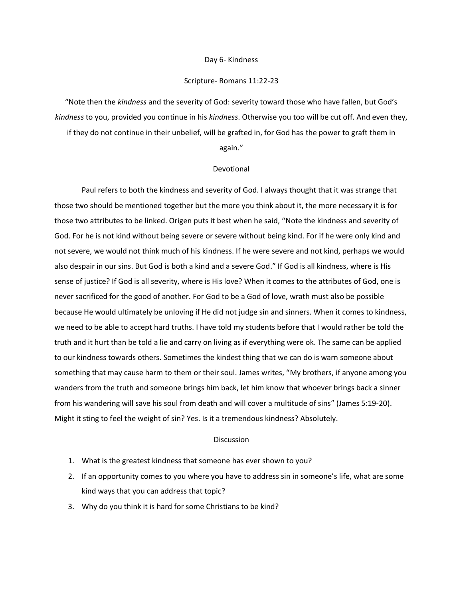### Day 6- Kindness

# Scripture- Romans 11:22-23

"Note then the *kindness* and the severity of God: severity toward those who have fallen, but God's *kindness* to you, provided you continue in his *kindness*. Otherwise you too will be cut off. And even they, if they do not continue in their unbelief, will be grafted in, for God has the power to graft them in

#### again."

### Devotional

Paul refers to both the kindness and severity of God. I always thought that it was strange that those two should be mentioned together but the more you think about it, the more necessary it is for those two attributes to be linked. Origen puts it best when he said, "Note the kindness and severity of God. For he is not kind without being severe or severe without being kind. For if he were only kind and not severe, we would not think much of his kindness. If he were severe and not kind, perhaps we would also despair in our sins. But God is both a kind and a severe God." If God is all kindness, where is His sense of justice? If God is all severity, where is His love? When it comes to the attributes of God, one is never sacrificed for the good of another. For God to be a God of love, wrath must also be possible because He would ultimately be unloving if He did not judge sin and sinners. When it comes to kindness, we need to be able to accept hard truths. I have told my students before that I would rather be told the truth and it hurt than be told a lie and carry on living as if everything were ok. The same can be applied to our kindness towards others. Sometimes the kindest thing that we can do is warn someone about something that may cause harm to them or their soul. James writes, "My brothers, if anyone among you wanders from the truth and someone brings him back, let him know that whoever brings back a sinner from his wandering will save his soul from death and will cover a multitude of sins" (James 5:19-20). Might it sting to feel the weight of sin? Yes. Is it a tremendous kindness? Absolutely.

- 1. What is the greatest kindness that someone has ever shown to you?
- 2. If an opportunity comes to you where you have to address sin in someone's life, what are some kind ways that you can address that topic?
- 3. Why do you think it is hard for some Christians to be kind?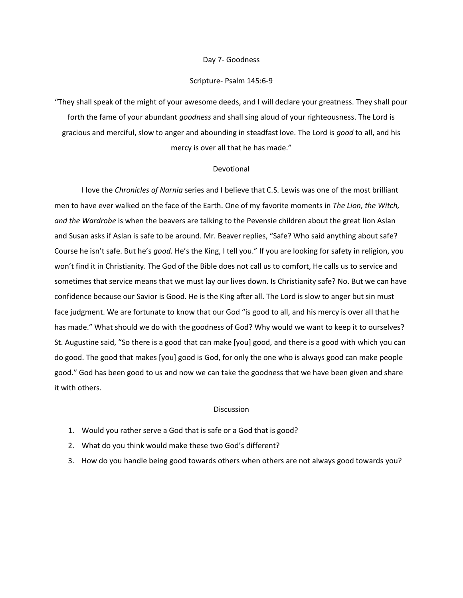### Day 7- Goodness

## Scripture- Psalm 145:6-9

"They shall speak of the might of your awesome deeds, and I will declare your greatness. They shall pour forth the fame of your abundant *goodness* and shall sing aloud of your righteousness. The Lord is gracious and merciful, slow to anger and abounding in steadfast love. The Lord is *good* to all, and his mercy is over all that he has made."

#### Devotional

I love the *Chronicles of Narnia* series and I believe that C.S. Lewis was one of the most brilliant men to have ever walked on the face of the Earth. One of my favorite moments in *The Lion, the Witch, and the Wardrobe* is when the beavers are talking to the Pevensie children about the great lion Aslan and Susan asks if Aslan is safe to be around. Mr. Beaver replies, "Safe? Who said anything about safe? Course he isn't safe. But he's *good*. He's the King, I tell you." If you are looking for safety in religion, you won't find it in Christianity. The God of the Bible does not call us to comfort, He calls us to service and sometimes that service means that we must lay our lives down. Is Christianity safe? No. But we can have confidence because our Savior is Good. He is the King after all. The Lord is slow to anger but sin must face judgment. We are fortunate to know that our God "is good to all, and his mercy is over all that he has made." What should we do with the goodness of God? Why would we want to keep it to ourselves? St. Augustine said, "So there is a good that can make [you] good, and there is a good with which you can do good. The good that makes [you] good is God, for only the one who is always good can make people good." God has been good to us and now we can take the goodness that we have been given and share it with others.

- 1. Would you rather serve a God that is safe or a God that is good?
- 2. What do you think would make these two God's different?
- 3. How do you handle being good towards others when others are not always good towards you?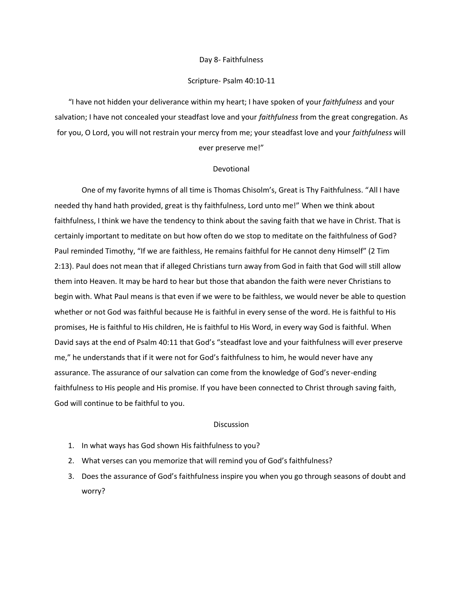# Day 8- Faithfulness

# Scripture- Psalm 40:10-11

"I have not hidden your deliverance within my heart; I have spoken of your *faithfulness* and your salvation; I have not concealed your steadfast love and your *faithfulness* from the great congregation. As for you, O Lord, you will not restrain your mercy from me; your steadfast love and your *faithfulness* will ever preserve me!"

# Devotional

One of my favorite hymns of all time is Thomas Chisolm's, Great is Thy Faithfulness. "All I have needed thy hand hath provided, great is thy faithfulness, Lord unto me!" When we think about faithfulness, I think we have the tendency to think about the saving faith that we have in Christ. That is certainly important to meditate on but how often do we stop to meditate on the faithfulness of God? Paul reminded Timothy, "If we are faithless, He remains faithful for He cannot deny Himself" (2 Tim 2:13). Paul does not mean that if alleged Christians turn away from God in faith that God will still allow them into Heaven. It may be hard to hear but those that abandon the faith were never Christians to begin with. What Paul means is that even if we were to be faithless, we would never be able to question whether or not God was faithful because He is faithful in every sense of the word. He is faithful to His promises, He is faithful to His children, He is faithful to His Word, in every way God is faithful. When David says at the end of Psalm 40:11 that God's "steadfast love and your faithfulness will ever preserve me," he understands that if it were not for God's faithfulness to him, he would never have any assurance. The assurance of our salvation can come from the knowledge of God's never-ending faithfulness to His people and His promise. If you have been connected to Christ through saving faith, God will continue to be faithful to you.

- 1. In what ways has God shown His faithfulness to you?
- 2. What verses can you memorize that will remind you of God's faithfulness?
- 3. Does the assurance of God's faithfulness inspire you when you go through seasons of doubt and worry?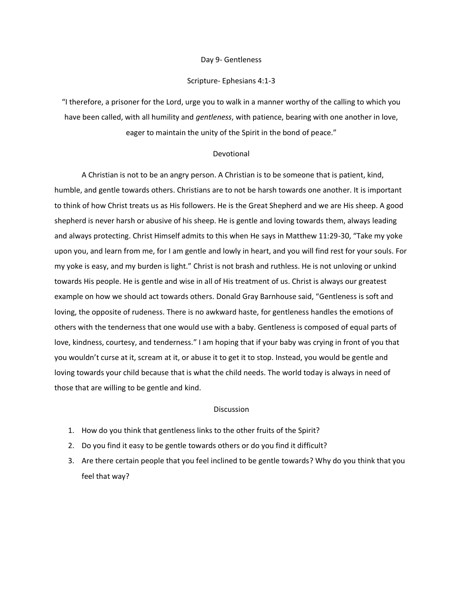# Day 9- Gentleness

# Scripture- Ephesians 4:1-3

"I therefore, a prisoner for the Lord, urge you to walk in a manner worthy of the calling to which you have been called, with all humility and *gentleness*, with patience, bearing with one another in love, eager to maintain the unity of the Spirit in the bond of peace."

# Devotional

A Christian is not to be an angry person. A Christian is to be someone that is patient, kind, humble, and gentle towards others. Christians are to not be harsh towards one another. It is important to think of how Christ treats us as His followers. He is the Great Shepherd and we are His sheep. A good shepherd is never harsh or abusive of his sheep. He is gentle and loving towards them, always leading and always protecting. Christ Himself admits to this when He says in Matthew 11:29-30, "Take my yoke upon you, and learn from me, for I am gentle and lowly in heart, and you will find rest for your souls. For my yoke is easy, and my burden is light." Christ is not brash and ruthless. He is not unloving or unkind towards His people. He is gentle and wise in all of His treatment of us. Christ is always our greatest example on how we should act towards others. Donald Gray Barnhouse said, "Gentleness is soft and loving, the opposite of rudeness. There is no awkward haste, for gentleness handles the emotions of others with the tenderness that one would use with a baby. Gentleness is composed of equal parts of love, kindness, courtesy, and tenderness." I am hoping that if your baby was crying in front of you that you wouldn't curse at it, scream at it, or abuse it to get it to stop. Instead, you would be gentle and loving towards your child because that is what the child needs. The world today is always in need of those that are willing to be gentle and kind.

- 1. How do you think that gentleness links to the other fruits of the Spirit?
- 2. Do you find it easy to be gentle towards others or do you find it difficult?
- 3. Are there certain people that you feel inclined to be gentle towards? Why do you think that you feel that way?